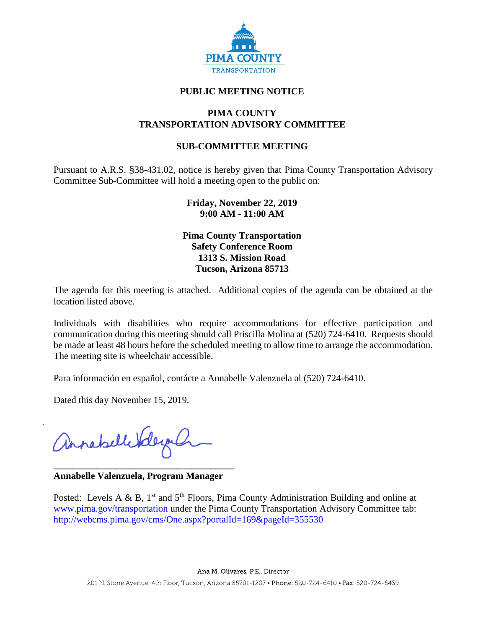

# **PUBLIC MEETING NOTICE**

## **PIMA COUNTY TRANSPORTATION ADVISORY COMMITTEE**

## **SUB-COMMITTEE MEETING**

Pursuant to A.R.S. §38-431.02, notice is hereby given that Pima County Transportation Advisory Committee Sub-Committee will hold a meeting open to the public on:

# **Friday, November 22, 2019 9:00 AM - 11:00 AM**

**Pima County Transportation Safety Conference Room 1313 S. Mission Road Tucson, Arizona 85713**

The agenda for this meeting is attached. Additional copies of the agenda can be obtained at the location listed above.

Individuals with disabilities who require accommodations for effective participation and communication during this meeting should call Priscilla Molina at (520) 724-6410. Requests should be made at least 48 hours before the scheduled meeting to allow time to arrange the accommodation. The meeting site is wheelchair accessible.

Para información en español, contácte a Annabelle Valenzuela al (520) 724-6410.

Dated this day November 15, 2019.

arrabellitdegal

**\_\_\_\_\_\_\_\_\_\_\_\_\_\_\_\_\_\_\_\_\_\_\_\_\_\_\_\_\_\_\_\_\_\_\_\_\_\_ Annabelle Valenzuela, Program Manager**

Posted: Levels A & B,  $1<sup>st</sup>$  and  $5<sup>th</sup>$  Floors, Pima County Administration Building and online at [www.pima.gov/transportation](http://www.pima.gov/transportation) under the Pima County Transportation Advisory Committee tab: <http://webcms.pima.gov/cms/One.aspx?portalId=169&pageId=355530>

Ana M. Olivares, P.E., Director